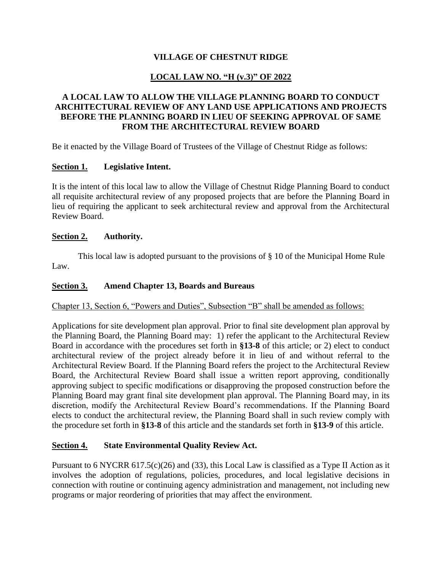# **VILLAGE OF CHESTNUT RIDGE**

# **LOCAL LAW NO. "H (v.3)" OF 2022**

# **A LOCAL LAW TO ALLOW THE VILLAGE PLANNING BOARD TO CONDUCT ARCHITECTURAL REVIEW OF ANY LAND USE APPLICATIONS AND PROJECTS BEFORE THE PLANNING BOARD IN LIEU OF SEEKING APPROVAL OF SAME FROM THE ARCHITECTURAL REVIEW BOARD**

Be it enacted by the Village Board of Trustees of the Village of Chestnut Ridge as follows:

### **Section 1. Legislative Intent.**

It is the intent of this local law to allow the Village of Chestnut Ridge Planning Board to conduct all requisite architectural review of any proposed projects that are before the Planning Board in lieu of requiring the applicant to seek architectural review and approval from the Architectural Review Board.

#### **Section 2. Authority.**

This local law is adopted pursuant to the provisions of § 10 of the Municipal Home Rule Law.

### **Section 3. Amend Chapter 13, Boards and Bureaus**

Chapter 13, Section 6, "Powers and Duties", Subsection "B" shall be amended as follows:

Applications for site development plan approval. Prior to final site development plan approval by the Planning Board, the Planning Board may: 1) refer the applicant to the Architectural Review Board in accordance with the procedures set forth in **§13-8** of this article; or 2) elect to conduct architectural review of the project already before it in lieu of and without referral to the Architectural Review Board. If the Planning Board refers the project to the Architectural Review Board, the Architectural Review Board shall issue a written report approving, conditionally approving subject to specific modifications or disapproving the proposed construction before the Planning Board may grant final site development plan approval. The Planning Board may, in its discretion, modify the Architectural Review Board's recommendations. If the Planning Board elects to conduct the architectural review, the Planning Board shall in such review comply with the procedure set forth in **§13-8** of this article and the standards set forth in **§13-9** of this article.

#### **Section 4. State Environmental Quality Review Act.**

Pursuant to 6 NYCRR 617.5(c)(26) and (33), this Local Law is classified as a Type II Action as it involves the adoption of regulations, policies, procedures, and local legislative decisions in connection with routine or continuing agency administration and management, not including new programs or major reordering of priorities that may affect the environment.